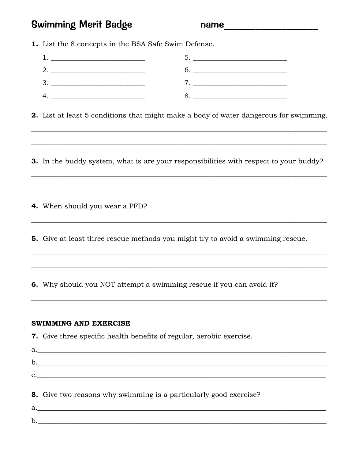## **Swimming Merit Badge**

name

1. List the 8 concepts in the BSA Safe Swim Defense.

| <u> 1989 - Andrea Station Barbara, amerikan per</u> |                    |
|-----------------------------------------------------|--------------------|
|                                                     | 6.                 |
| 3.                                                  | 7. $\qquad \qquad$ |
| 4.                                                  |                    |

2. List at least 5 conditions that might make a body of water dangerous for swimming.

3. In the buddy system, what is are your responsibilities with respect to your buddy?

4. When should you wear a PFD?

5. Give at least three rescue methods you might try to avoid a swimming rescue.

6. Why should you NOT attempt a swimming rescue if you can avoid it?

## **SWIMMING AND EXERCISE**

 $\mathbf{b}$ .

| 7. Give three specific health benefits of regular, aerobic exercise. |
|----------------------------------------------------------------------|
| a.                                                                   |
|                                                                      |
| $\mathbf{C}$ .                                                       |
| 8. Give two reasons why swimming is a particularly good exercise?    |
|                                                                      |